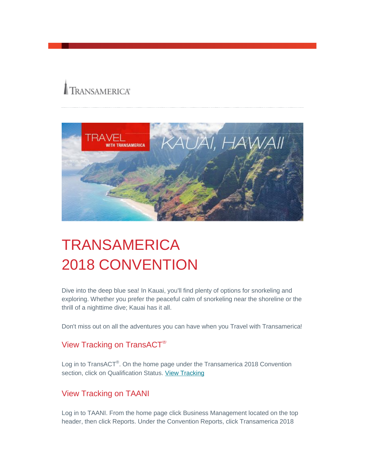# **TRANSAMERICA®**



## **TRANSAMERICA** 2018 CONVENTION

Dive into the deep blue sea! In Kauai, you'll find plenty of options for snorkeling and exploring. Whether you prefer the peaceful calm of snorkeling near the shoreline or the thrill of a nighttime dive; Kauai has it all.

Don't miss out on all the adventures you can have when you Travel with Transamerica!

## View Tracking on TransACT®

Log in to TransACT<sup>®</sup>. On the home page under the Transamerica 2018 Convention section, click on Qualification Status. [View Tracking](http://cl.s4.exct.net/?qs=be292f613b70ab6a90acfd1e137556c21ffaf3f07b4fcb5e8ae16b3489a5343f44d53f0b7e0a4825e4d76a77f562fdc835620e9b640c7dd8)

### View Tracking on TAANI

Log in to TAANI. From the home page click Business Management located on the top header, then click Reports. Under the Convention Reports, click Transamerica 2018